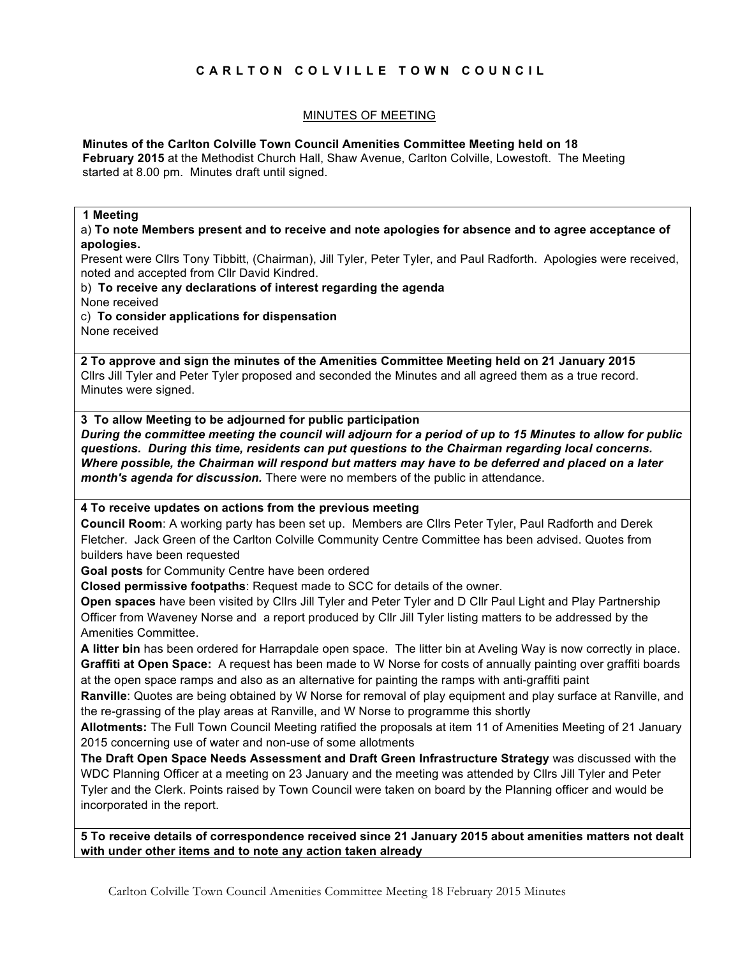## **CARLTON COLVILLE TOWN COUNCIL**

## MINUTES OF MEETING

#### **Minutes of the Carlton Colville Town Council Amenities Committee Meeting held on 18**

**February 2015** at the Methodist Church Hall, Shaw Avenue, Carlton Colville, Lowestoft. The Meeting started at 8.00 pm. Minutes draft until signed.

#### **1 Meeting**

a) **To note Members present and to receive and note apologies for absence and to agree acceptance of apologies.**

Present were Cllrs Tony Tibbitt, (Chairman), Jill Tyler, Peter Tyler, and Paul Radforth. Apologies were received, noted and accepted from Cllr David Kindred.

#### b) **To receive any declarations of interest regarding the agenda**

None received

c) **To consider applications for dispensation**

None received

**2 To approve and sign the minutes of the Amenities Committee Meeting held on 21 January 2015** Cllrs Jill Tyler and Peter Tyler proposed and seconded the Minutes and all agreed them as a true record. Minutes were signed.

**3 To allow Meeting to be adjourned for public participation** *During the committee meeting the council will adjourn for a period of up to 15 Minutes to allow for public questions. During this time, residents can put questions to the Chairman regarding local concerns. Where possible, the Chairman will respond but matters may have to be deferred and placed on a later month's agenda for discussion.* There were no members of the public in attendance.

## **4 To receive updates on actions from the previous meeting**

**Council Room**: A working party has been set up. Members are Cllrs Peter Tyler, Paul Radforth and Derek Fletcher. Jack Green of the Carlton Colville Community Centre Committee has been advised. Quotes from builders have been requested

**Goal posts** for Community Centre have been ordered

**Closed permissive footpaths**: Request made to SCC for details of the owner.

**Open spaces** have been visited by Cllrs Jill Tyler and Peter Tyler and D Cllr Paul Light and Play Partnership Officer from Waveney Norse and a report produced by Cllr Jill Tyler listing matters to be addressed by the Amenities Committee.

**A litter bin** has been ordered for Harrapdale open space. The litter bin at Aveling Way is now correctly in place. **Graffiti at Open Space:** A request has been made to W Norse for costs of annually painting over graffiti boards at the open space ramps and also as an alternative for painting the ramps with anti-graffiti paint

**Ranville**: Quotes are being obtained by W Norse for removal of play equipment and play surface at Ranville, and the re-grassing of the play areas at Ranville, and W Norse to programme this shortly

**Allotments:** The Full Town Council Meeting ratified the proposals at item 11 of Amenities Meeting of 21 January 2015 concerning use of water and non-use of some allotments

**The Draft Open Space Needs Assessment and Draft Green Infrastructure Strategy** was discussed with the WDC Planning Officer at a meeting on 23 January and the meeting was attended by Cllrs Jill Tyler and Peter Tyler and the Clerk. Points raised by Town Council were taken on board by the Planning officer and would be incorporated in the report.

**5 To receive details of correspondence received since 21 January 2015 about amenities matters not dealt with under other items and to note any action taken already**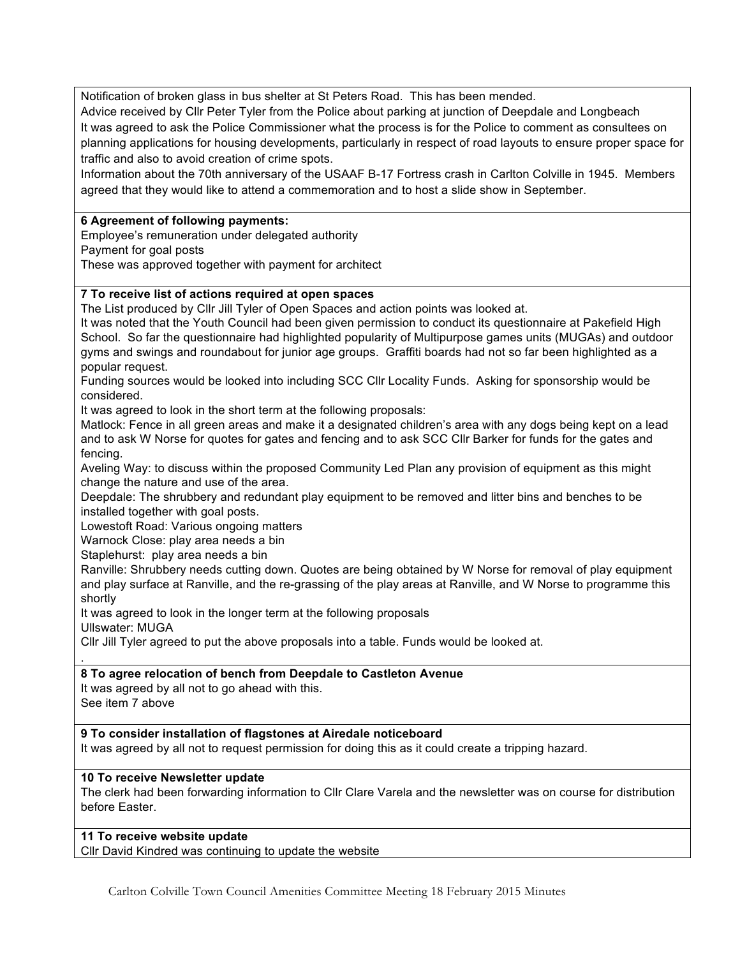Notification of broken glass in bus shelter at St Peters Road. This has been mended.

Advice received by Cllr Peter Tyler from the Police about parking at junction of Deepdale and Longbeach It was agreed to ask the Police Commissioner what the process is for the Police to comment as consultees on planning applications for housing developments, particularly in respect of road layouts to ensure proper space for traffic and also to avoid creation of crime spots.

Information about the 70th anniversary of the USAAF B-17 Fortress crash in Carlton Colville in 1945. Members agreed that they would like to attend a commemoration and to host a slide show in September.

#### **6 Agreement of following payments:**

Employee's remuneration under delegated authority

Payment for goal posts

These was approved together with payment for architect

## **7 To receive list of actions required at open spaces**

The List produced by Cllr Jill Tyler of Open Spaces and action points was looked at.

It was noted that the Youth Council had been given permission to conduct its questionnaire at Pakefield High School. So far the questionnaire had highlighted popularity of Multipurpose games units (MUGAs) and outdoor gyms and swings and roundabout for junior age groups. Graffiti boards had not so far been highlighted as a popular request.

Funding sources would be looked into including SCC Cllr Locality Funds. Asking for sponsorship would be considered.

It was agreed to look in the short term at the following proposals:

Matlock: Fence in all green areas and make it a designated children's area with any dogs being kept on a lead and to ask W Norse for quotes for gates and fencing and to ask SCC Cllr Barker for funds for the gates and fencing.

Aveling Way: to discuss within the proposed Community Led Plan any provision of equipment as this might change the nature and use of the area.

Deepdale: The shrubbery and redundant play equipment to be removed and litter bins and benches to be installed together with goal posts.

Lowestoft Road: Various ongoing matters

Warnock Close: play area needs a bin

Staplehurst: play area needs a bin

Ranville: Shrubbery needs cutting down. Quotes are being obtained by W Norse for removal of play equipment and play surface at Ranville, and the re-grassing of the play areas at Ranville, and W Norse to programme this shortly

It was agreed to look in the longer term at the following proposals

Ullswater: MUGA

.

Cllr Jill Tyler agreed to put the above proposals into a table. Funds would be looked at.

## **8 To agree relocation of bench from Deepdale to Castleton Avenue**

It was agreed by all not to go ahead with this. See item 7 above

## **9 To consider installation of flagstones at Airedale noticeboard**

It was agreed by all not to request permission for doing this as it could create a tripping hazard.

## **10 To receive Newsletter update**

The clerk had been forwarding information to Cllr Clare Varela and the newsletter was on course for distribution before Easter.

# **11 To receive website update**

Cllr David Kindred was continuing to update the website